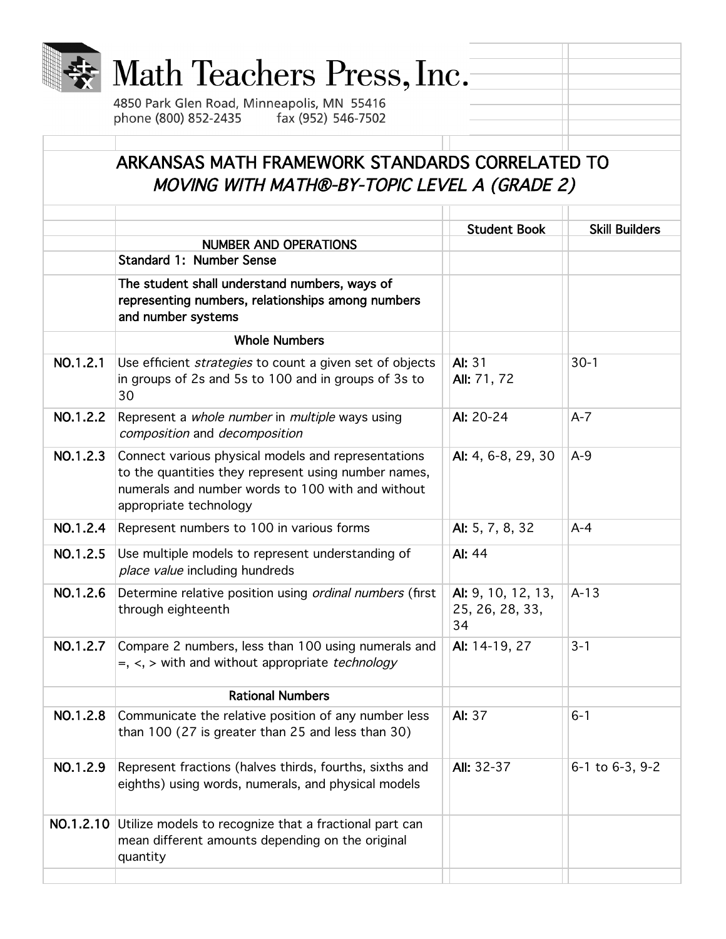|          | Math Teachers Press, Inc.<br>4850 Park Glen Road, Minneapolis, MN 55416<br>phone (800) 852-2435<br>fax (952) 546-7502                                                                      |                                             |                       |
|----------|--------------------------------------------------------------------------------------------------------------------------------------------------------------------------------------------|---------------------------------------------|-----------------------|
|          | ARKANSAS MATH FRAMEWORK STANDARDS CORRELATED TO<br>MOVING WITH MATH®-BY-TOPIC LEVEL A (GRADE 2)                                                                                            |                                             |                       |
|          | <b>NUMBER AND OPERATIONS</b><br><b>Standard 1: Number Sense</b>                                                                                                                            | <b>Student Book</b>                         | <b>Skill Builders</b> |
|          | The student shall understand numbers, ways of<br>representing numbers, relationships among numbers<br>and number systems                                                                   |                                             |                       |
|          | <b>Whole Numbers</b>                                                                                                                                                                       |                                             |                       |
| NO.1.2.1 | Use efficient <i>strategies</i> to count a given set of objects<br>in groups of 2s and 5s to 100 and in groups of 3s to<br>30                                                              | AI: 31<br>All: 71, 72                       | $30-1$                |
| NO.1.2.2 | Represent a whole number in multiple ways using<br>composition and decomposition                                                                                                           | AI: 20-24                                   | $A-7$                 |
| NO.1.2.3 | Connect various physical models and representations<br>to the quantities they represent using number names,<br>numerals and number words to 100 with and without<br>appropriate technology | Al: 4, 6-8, 29, 30                          | $A-9$                 |
| NO.1.2.4 | Represent numbers to 100 in various forms                                                                                                                                                  | AI: 5, 7, 8, 32                             | $A - 4$               |
| NO.1.2.5 | Use multiple models to represent understanding of<br>place value including hundreds                                                                                                        | AI: 44                                      |                       |
| NO.1.2.6 | Determine relative position using ordinal numbers (first<br>through eighteenth                                                                                                             | AI: 9, 10, 12, 13,<br>25, 26, 28, 33,<br>34 | $A-13$                |
| NO.1.2.7 | Compare 2 numbers, less than 100 using numerals and<br>$=, <, >$ with and without appropriate <i>technology</i>                                                                            | AI: 14-19, 27                               | $3 - 1$               |
|          | <b>Rational Numbers</b>                                                                                                                                                                    |                                             |                       |
| NO.1.2.8 | Communicate the relative position of any number less<br>than 100 (27 is greater than 25 and less than 30)                                                                                  | AI: 37                                      | $6 - 1$               |
| NO.1.2.9 | Represent fractions (halves thirds, fourths, sixths and<br>eighths) using words, numerals, and physical models                                                                             | <b>All: 32-37</b>                           | 6-1 to 6-3, 9-2       |
|          | NO.1.2.10 Utilize models to recognize that a fractional part can<br>mean different amounts depending on the original<br>quantity                                                           |                                             |                       |
|          |                                                                                                                                                                                            |                                             |                       |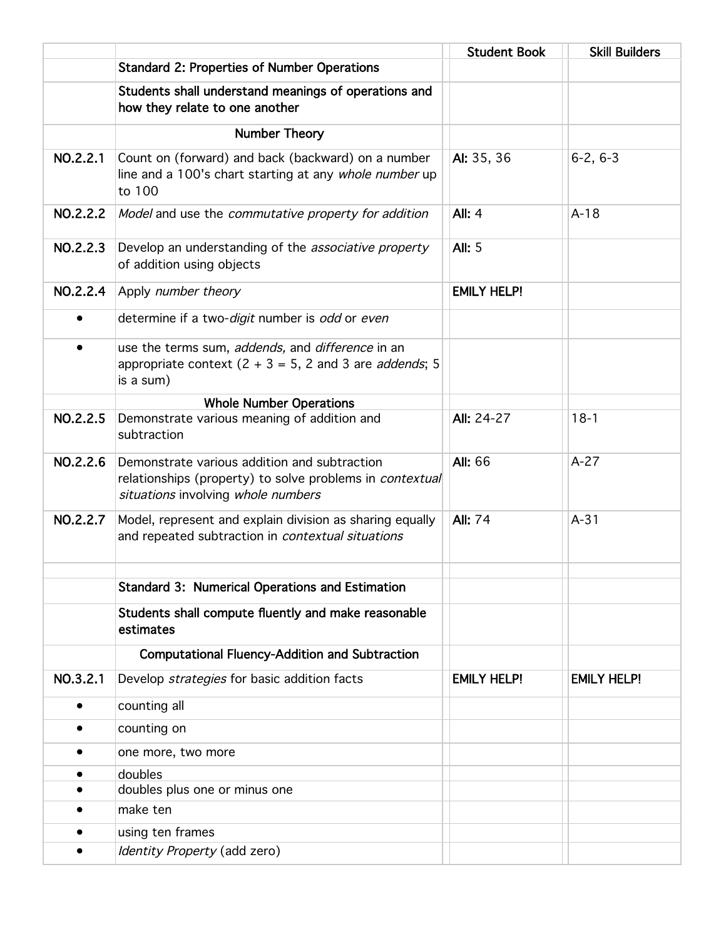|           |                                                                                                                                                       | <b>Student Book</b> | <b>Skill Builders</b> |
|-----------|-------------------------------------------------------------------------------------------------------------------------------------------------------|---------------------|-----------------------|
|           | <b>Standard 2: Properties of Number Operations</b>                                                                                                    |                     |                       |
|           | Students shall understand meanings of operations and<br>how they relate to one another                                                                |                     |                       |
|           | Number Theory                                                                                                                                         |                     |                       |
| NO.2.2.1  | Count on (forward) and back (backward) on a number<br>line and a 100's chart starting at any whole number up<br>to 100                                | AI: 35, 36          | $6-2, 6-3$            |
| NO.2.2.2  | Model and use the commutative property for addition                                                                                                   | <b>All: 4</b>       | $A-18$                |
| NO.2.2.3  | Develop an understanding of the <i>associative property</i><br>of addition using objects                                                              | <b>All: 5</b>       |                       |
| NO.2.2.4  | Apply number theory                                                                                                                                   | <b>EMILY HELP!</b>  |                       |
| $\bullet$ | determine if a two-digit number is odd or even                                                                                                        |                     |                       |
| $\bullet$ | use the terms sum, addends, and difference in an<br>appropriate context $(2 + 3 = 5, 2, 3)$ and 3 are <i>addends</i> ; 5<br>is a sum)                 |                     |                       |
|           | <b>Whole Number Operations</b>                                                                                                                        |                     |                       |
| NO.2.2.5  | Demonstrate various meaning of addition and<br>subtraction                                                                                            | <b>All: 24-27</b>   | $18-1$                |
| NO.2.2.6  | Demonstrate various addition and subtraction<br>relationships (property) to solve problems in <i>contextual</i><br>situations involving whole numbers | <b>All: 66</b>      | $A-27$                |
| NO.2.2.7  | Model, represent and explain division as sharing equally<br>and repeated subtraction in contextual situations                                         | <b>All: 74</b>      | $A-31$                |
|           | <b>Standard 3: Numerical Operations and Estimation</b>                                                                                                |                     |                       |
|           |                                                                                                                                                       |                     |                       |
|           | Students shall compute fluently and make reasonable<br>estimates                                                                                      |                     |                       |
|           | <b>Computational Fluency-Addition and Subtraction</b>                                                                                                 |                     |                       |
| NO.3.2.1  | Develop strategies for basic addition facts                                                                                                           | <b>EMILY HELP!</b>  | <b>EMILY HELP!</b>    |
| $\bullet$ | counting all                                                                                                                                          |                     |                       |
|           | counting on                                                                                                                                           |                     |                       |
| ٠         | one more, two more                                                                                                                                    |                     |                       |
|           | doubles                                                                                                                                               |                     |                       |
|           | doubles plus one or minus one                                                                                                                         |                     |                       |
|           | make ten                                                                                                                                              |                     |                       |
|           | using ten frames                                                                                                                                      |                     |                       |
|           | Identity Property (add zero)                                                                                                                          |                     |                       |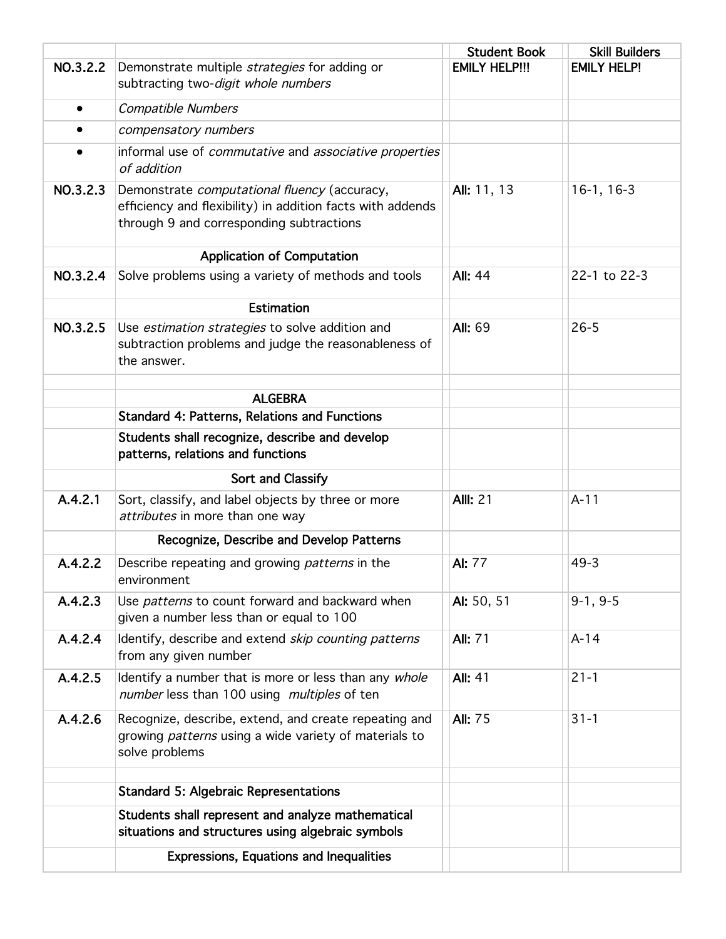|           |                                                                                                                                                        | <b>Student Book</b>  | <b>Skill Builders</b> |
|-----------|--------------------------------------------------------------------------------------------------------------------------------------------------------|----------------------|-----------------------|
| NO.3.2.2  | Demonstrate multiple strategies for adding or<br>subtracting two-digit whole numbers                                                                   | <b>EMILY HELP!!!</b> | <b>EMILY HELP!</b>    |
| $\bullet$ | <b>Compatible Numbers</b>                                                                                                                              |                      |                       |
| ٠         | compensatory numbers                                                                                                                                   |                      |                       |
| $\bullet$ | informal use of commutative and associative properties<br>of addition                                                                                  |                      |                       |
| NO.3.2.3  | Demonstrate computational fluency (accuracy,<br>efficiency and flexibility) in addition facts with addends<br>through 9 and corresponding subtractions | All: 11, 13          | $16-1, 16-3$          |
|           | <b>Application of Computation</b>                                                                                                                      |                      |                       |
| NO.3.2.4  | Solve problems using a variety of methods and tools                                                                                                    | <b>All: 44</b>       | 22-1 to 22-3          |
|           | <b>Estimation</b>                                                                                                                                      |                      |                       |
| NO.3.2.5  | Use estimation strategies to solve addition and<br>subtraction problems and judge the reasonableness of<br>the answer.                                 | <b>All: 69</b>       | $26 - 5$              |
|           | <b>ALGEBRA</b>                                                                                                                                         |                      |                       |
|           | <b>Standard 4: Patterns, Relations and Functions</b>                                                                                                   |                      |                       |
|           | Students shall recognize, describe and develop<br>patterns, relations and functions                                                                    |                      |                       |
|           | Sort and Classify                                                                                                                                      |                      |                       |
| A.4.2.1   | Sort, classify, and label objects by three or more<br>attributes in more than one way                                                                  | <b>All: 21</b>       | $A-11$                |
|           | Recognize, Describe and Develop Patterns                                                                                                               |                      |                       |
| A.4.2.2   | Describe repeating and growing patterns in the<br>environment                                                                                          | AI: 77               | $49 - 3$              |
| A.4.2.3   | Use patterns to count forward and backward when<br>given a number less than or equal to 100                                                            | AI: 50, 51           | $9-1, 9-5$            |
| A.4.2.4   | Identify, describe and extend <i>skip counting patterns</i><br>from any given number                                                                   | <b>All: 71</b>       | $A-14$                |
| A.4.2.5   | Identify a number that is more or less than any whole<br>number less than 100 using multiples of ten                                                   | <b>All: 41</b>       | $21 - 1$              |
| A.4.2.6   | Recognize, describe, extend, and create repeating and<br>growing <i>patterns</i> using a wide variety of materials to<br>solve problems                | <b>All: 75</b>       | $31 - 1$              |
|           | <b>Standard 5: Algebraic Representations</b>                                                                                                           |                      |                       |
|           | Students shall represent and analyze mathematical<br>situations and structures using algebraic symbols                                                 |                      |                       |
|           | <b>Expressions, Equations and Inequalities</b>                                                                                                         |                      |                       |
|           |                                                                                                                                                        |                      |                       |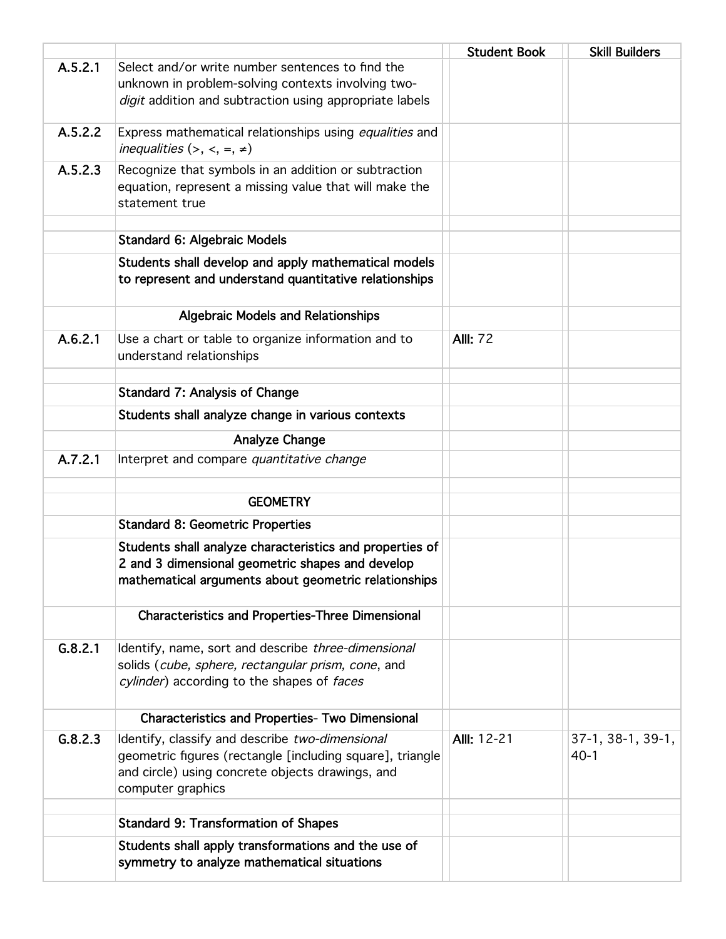|         |                                                           | <b>Student Book</b> | <b>Skill Builders</b> |
|---------|-----------------------------------------------------------|---------------------|-----------------------|
| A.5.2.1 | Select and/or write number sentences to find the          |                     |                       |
|         | unknown in problem-solving contexts involving two-        |                     |                       |
|         | digit addition and subtraction using appropriate labels   |                     |                       |
| A.5.2.2 | Express mathematical relationships using equalities and   |                     |                       |
|         | inequalities $(\ge, \le, =, \neq)$                        |                     |                       |
| A.5.2.3 | Recognize that symbols in an addition or subtraction      |                     |                       |
|         | equation, represent a missing value that will make the    |                     |                       |
|         | statement true                                            |                     |                       |
|         | <b>Standard 6: Algebraic Models</b>                       |                     |                       |
|         | Students shall develop and apply mathematical models      |                     |                       |
|         | to represent and understand quantitative relationships    |                     |                       |
|         | <b>Algebraic Models and Relationships</b>                 |                     |                       |
| A.6.2.1 | Use a chart or table to organize information and to       | <b>All: 72</b>      |                       |
|         | understand relationships                                  |                     |                       |
|         | <b>Standard 7: Analysis of Change</b>                     |                     |                       |
|         | Students shall analyze change in various contexts         |                     |                       |
|         | Analyze Change                                            |                     |                       |
| A.7.2.1 | Interpret and compare quantitative change                 |                     |                       |
|         | <b>GEOMETRY</b>                                           |                     |                       |
|         |                                                           |                     |                       |
|         | <b>Standard 8: Geometric Properties</b>                   |                     |                       |
|         | Students shall analyze characteristics and properties of  |                     |                       |
|         | 2 and 3 dimensional geometric shapes and develop          |                     |                       |
|         | mathematical arguments about geometric relationships      |                     |                       |
|         | <b>Characteristics and Properties-Three Dimensional</b>   |                     |                       |
| G.8.2.1 | Identify, name, sort and describe three-dimensional       |                     |                       |
|         | solids (cube, sphere, rectangular prism, cone, and        |                     |                       |
|         | cylinder) according to the shapes of faces                |                     |                       |
|         |                                                           |                     |                       |
|         | <b>Characteristics and Properties- Two Dimensional</b>    |                     |                       |
| G.8.2.3 | Identify, classify and describe two-dimensional           | All: 12-21          | 37-1, 38-1, 39-1,     |
|         | geometric figures (rectangle [including square], triangle |                     | $40-1$                |
|         | and circle) using concrete objects drawings, and          |                     |                       |
|         | computer graphics                                         |                     |                       |
|         | <b>Standard 9: Transformation of Shapes</b>               |                     |                       |
|         | Students shall apply transformations and the use of       |                     |                       |
|         | symmetry to analyze mathematical situations               |                     |                       |
|         |                                                           |                     |                       |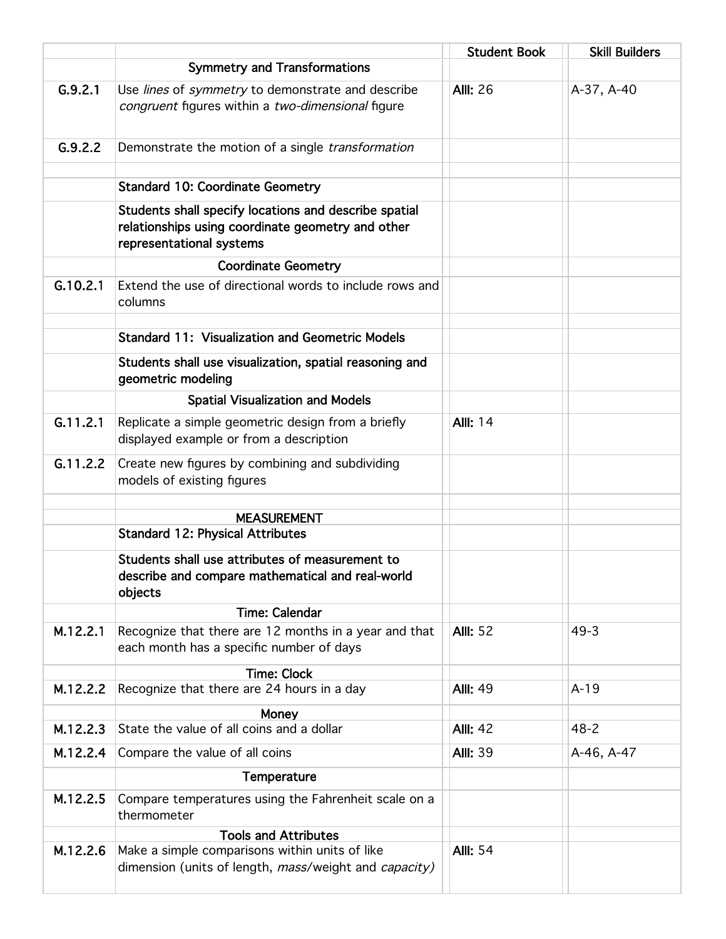|          |                                                                                                                                        | <b>Student Book</b> | <b>Skill Builders</b> |
|----------|----------------------------------------------------------------------------------------------------------------------------------------|---------------------|-----------------------|
|          | <b>Symmetry and Transformations</b>                                                                                                    |                     |                       |
| G.9.2.1  | Use lines of symmetry to demonstrate and describe<br>congruent figures within a two-dimensional figure                                 | <b>All: 26</b>      | A-37, A-40            |
| G.9.2.2  | Demonstrate the motion of a single transformation                                                                                      |                     |                       |
|          | <b>Standard 10: Coordinate Geometry</b>                                                                                                |                     |                       |
|          | Students shall specify locations and describe spatial<br>relationships using coordinate geometry and other<br>representational systems |                     |                       |
|          | <b>Coordinate Geometry</b>                                                                                                             |                     |                       |
| G.10.2.1 | Extend the use of directional words to include rows and<br>columns                                                                     |                     |                       |
|          | <b>Standard 11: Visualization and Geometric Models</b>                                                                                 |                     |                       |
|          | Students shall use visualization, spatial reasoning and<br>geometric modeling                                                          |                     |                       |
|          | <b>Spatial Visualization and Models</b>                                                                                                |                     |                       |
| G.11.2.1 | Replicate a simple geometric design from a briefly<br>displayed example or from a description                                          | <b>All: 14</b>      |                       |
| G.11.2.2 | Create new figures by combining and subdividing<br>models of existing figures                                                          |                     |                       |
|          | <b>MEASUREMENT</b>                                                                                                                     |                     |                       |
|          | <b>Standard 12: Physical Attributes</b>                                                                                                |                     |                       |
|          | Students shall use attributes of measurement to<br>describe and compare mathematical and real-world<br>objects                         |                     |                       |
|          | <b>Time: Calendar</b>                                                                                                                  |                     |                       |
| M.12.2.1 | Recognize that there are 12 months in a year and that<br>each month has a specific number of days                                      | <b>All: 52</b>      | $49 - 3$              |
|          | <b>Time: Clock</b>                                                                                                                     |                     |                       |
| M.12.2.2 | Recognize that there are 24 hours in a day                                                                                             | <b>AllI: 49</b>     | $A-19$                |
| M.12.2.3 | Money<br>State the value of all coins and a dollar                                                                                     | <b>All: 42</b>      | $48 - 2$              |
| M.12.2.4 | Compare the value of all coins                                                                                                         | <b>All: 39</b>      | A-46, A-47            |
|          | Temperature                                                                                                                            |                     |                       |
| M.12.2.5 | Compare temperatures using the Fahrenheit scale on a<br>thermometer                                                                    |                     |                       |
|          | <b>Tools and Attributes</b>                                                                                                            |                     |                       |
| M.12.2.6 | Make a simple comparisons within units of like<br>dimension (units of length, mass/weight and capacity)                                | <b>All: 54</b>      |                       |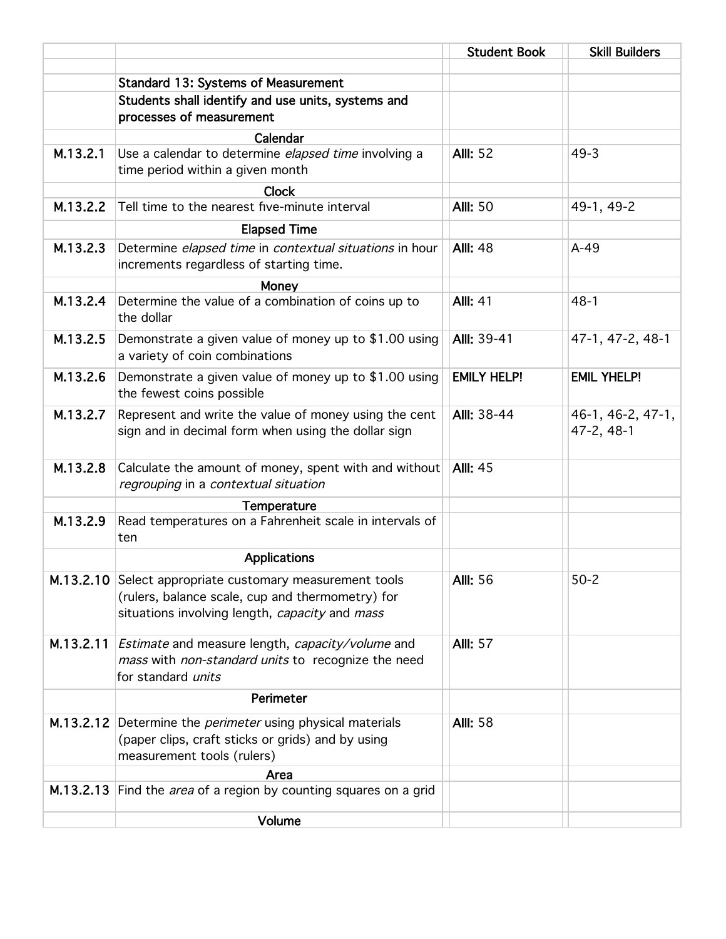|           |                                                                                                                                                                | <b>Student Book</b> | <b>Skill Builders</b>           |
|-----------|----------------------------------------------------------------------------------------------------------------------------------------------------------------|---------------------|---------------------------------|
|           |                                                                                                                                                                |                     |                                 |
|           | <b>Standard 13: Systems of Measurement</b><br>Students shall identify and use units, systems and                                                               |                     |                                 |
|           | processes of measurement                                                                                                                                       |                     |                                 |
|           | Calendar                                                                                                                                                       |                     |                                 |
| M.13.2.1  | Use a calendar to determine elapsed time involving a<br>time period within a given month                                                                       | <b>All: 52</b>      | $49 - 3$                        |
|           | <b>Clock</b>                                                                                                                                                   |                     |                                 |
| M.13.2.2  | Tell time to the nearest five-minute interval                                                                                                                  | <b>All: 50</b>      | 49-1, 49-2                      |
|           | <b>Elapsed Time</b>                                                                                                                                            |                     |                                 |
| M.13.2.3  | Determine elapsed time in contextual situations in hour<br>increments regardless of starting time.                                                             | <b>Alll: 48</b>     | $A-49$                          |
|           | Money                                                                                                                                                          |                     |                                 |
| M.13.2.4  | Determine the value of a combination of coins up to<br>the dollar                                                                                              | <b>Alli: 41</b>     | $48-1$                          |
| M.13.2.5  | Demonstrate a given value of money up to \$1.00 using<br>a variety of coin combinations                                                                        | Alll: 39-41         | 47-1, 47-2, 48-1                |
| M.13.2.6  | Demonstrate a given value of money up to \$1.00 using<br>the fewest coins possible                                                                             | <b>EMILY HELP!</b>  | <b>EMIL YHELP!</b>              |
| M.13.2.7  | Represent and write the value of money using the cent<br>sign and in decimal form when using the dollar sign                                                   | <b>All: 38-44</b>   | 46-1, 46-2, 47-1,<br>47-2, 48-1 |
| M.13.2.8  | Calculate the amount of money, spent with and without<br>regrouping in a contextual situation                                                                  | <b>AllI: 45</b>     |                                 |
|           | Temperature                                                                                                                                                    |                     |                                 |
| M.13.2.9  | Read temperatures on a Fahrenheit scale in intervals of<br>ten                                                                                                 |                     |                                 |
|           | <b>Applications</b>                                                                                                                                            |                     |                                 |
|           | M.13.2.10 Select appropriate customary measurement tools<br>(rulers, balance scale, cup and thermometry) for<br>situations involving length, capacity and mass | <b>AllI: 56</b>     | $50 - 2$                        |
| M.13.2.11 | Estimate and measure length, capacity/volume and<br>mass with non-standard units to recognize the need<br>for standard units                                   | <b>All: 57</b>      |                                 |
|           | Perimeter                                                                                                                                                      |                     |                                 |
|           | M.13.2.12 Determine the <i>perimeter</i> using physical materials<br>(paper clips, craft sticks or grids) and by using<br>measurement tools (rulers)           | <b>All: 58</b>      |                                 |
|           | Area                                                                                                                                                           |                     |                                 |
|           | M.13.2.13 Find the <i>area</i> of a region by counting squares on a grid                                                                                       |                     |                                 |
|           | Volume                                                                                                                                                         |                     |                                 |